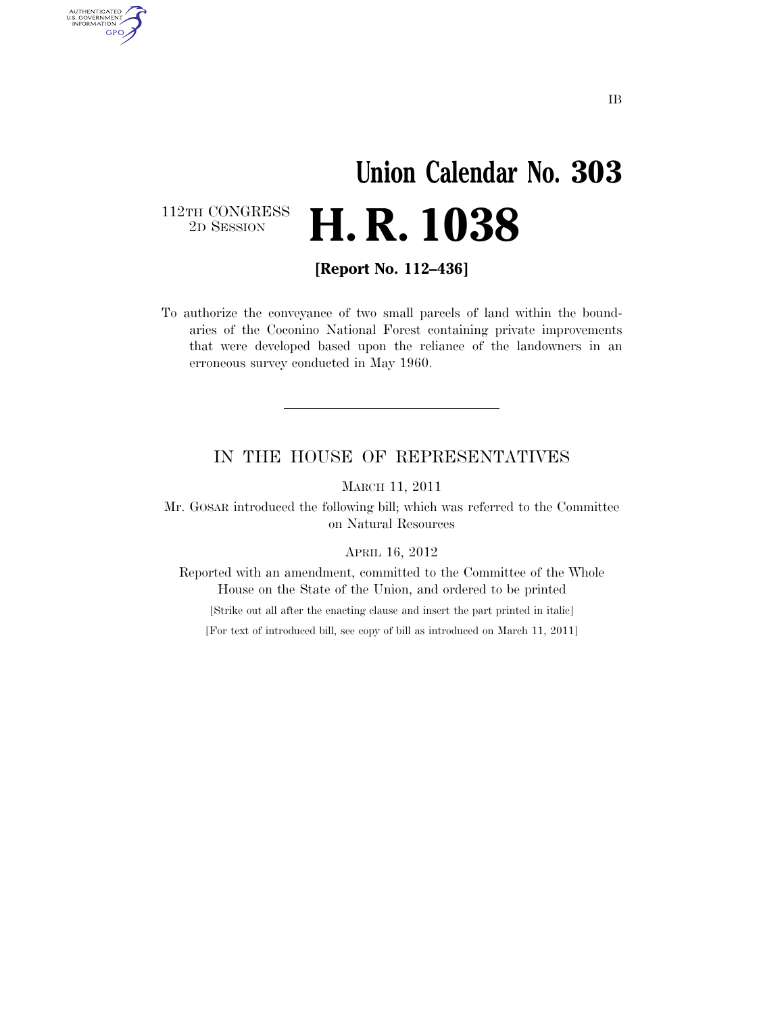### **Union Calendar No. 303**  2D SESSION **H. R. 1038**

112TH CONGRESS<br>2D SESSION

AUTHENTICATED<br>U.S. GOVERNMENT<br>INFORMATION GPO

**[Report No. 112–436]** 

To authorize the conveyance of two small parcels of land within the boundaries of the Coconino National Forest containing private improvements that were developed based upon the reliance of the landowners in an erroneous survey conducted in May 1960.

#### IN THE HOUSE OF REPRESENTATIVES

MARCH 11, 2011

Mr. GOSAR introduced the following bill; which was referred to the Committee on Natural Resources

APRIL 16, 2012

Reported with an amendment, committed to the Committee of the Whole House on the State of the Union, and ordered to be printed

[Strike out all after the enacting clause and insert the part printed in italic]

[For text of introduced bill, see copy of bill as introduced on March 11, 2011]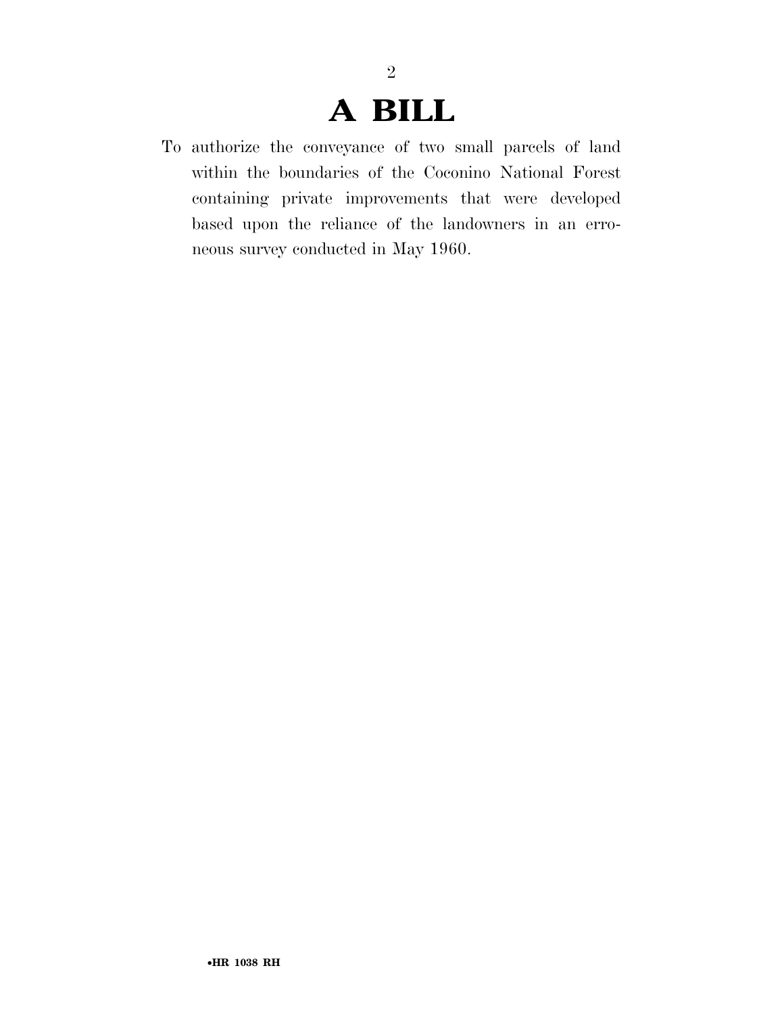### **A BILL**

2

To authorize the conveyance of two small parcels of land within the boundaries of the Coconino National Forest containing private improvements that were developed based upon the reliance of the landowners in an erroneous survey conducted in May 1960.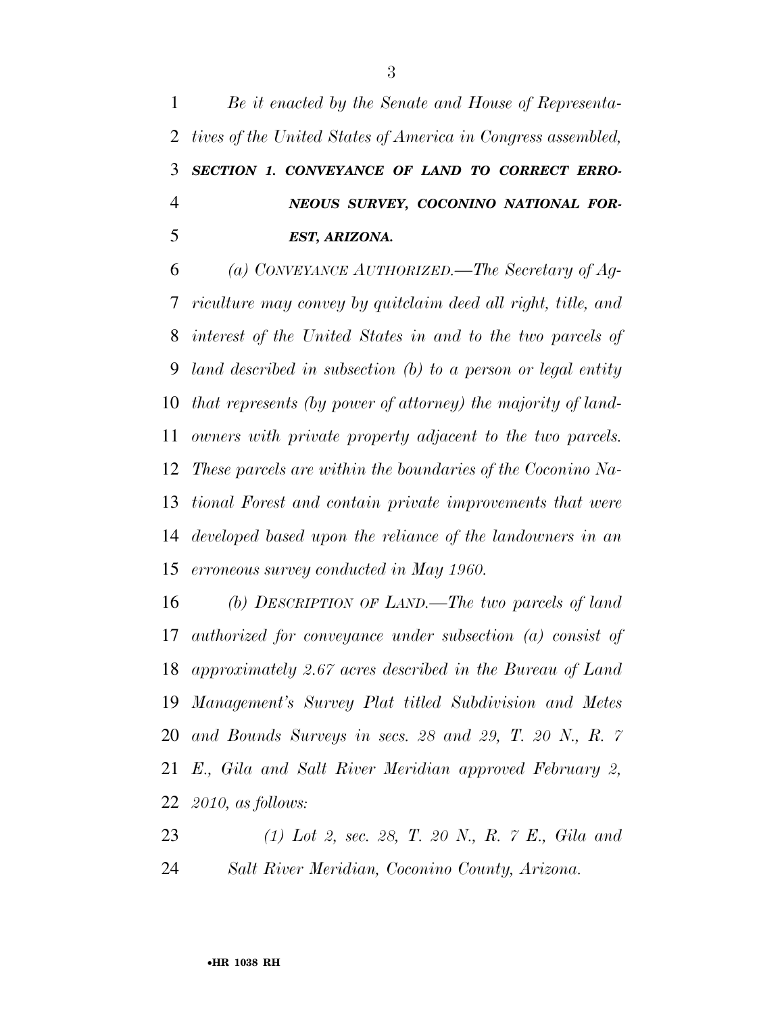*Be it enacted by the Senate and House of Representa- tives of the United States of America in Congress assembled, SECTION 1. CONVEYANCE OF LAND TO CORRECT ERRO- NEOUS SURVEY, COCONINO NATIONAL FOR-EST, ARIZONA.* 

 *(a) CONVEYANCE AUTHORIZED.—The Secretary of Ag- riculture may convey by quitclaim deed all right, title, and interest of the United States in and to the two parcels of land described in subsection (b) to a person or legal entity that represents (by power of attorney) the majority of land- owners with private property adjacent to the two parcels. These parcels are within the boundaries of the Coconino Na- tional Forest and contain private improvements that were developed based upon the reliance of the landowners in an erroneous survey conducted in May 1960.* 

 *(b) DESCRIPTION OF LAND.—The two parcels of land authorized for conveyance under subsection (a) consist of approximately 2.67 acres described in the Bureau of Land Management's Survey Plat titled Subdivision and Metes and Bounds Surveys in secs. 28 and 29, T. 20 N., R. 7 E., Gila and Salt River Meridian approved February 2, 2010, as follows:* 

 *(1) Lot 2, sec. 28, T. 20 N., R. 7 E., Gila and Salt River Meridian, Coconino County, Arizona.*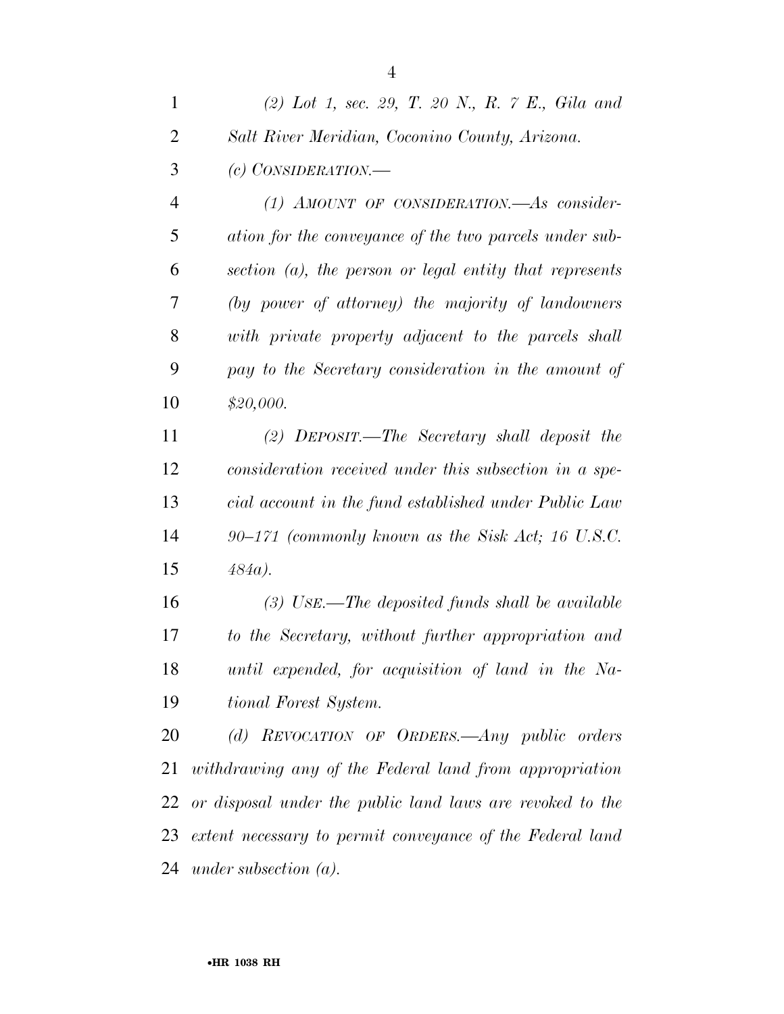| $\mathbf{1}$   | (2) Lot 1, sec. 29, T. 20 N., R. $\gamma$ E., Gila and     |
|----------------|------------------------------------------------------------|
| $\overline{2}$ | Salt River Meridian, Coconino County, Arizona.             |
| 3              | $(c)$ CONSIDERATION.—                                      |
| 4              | $(1)$ AMOUNT OF CONSIDERATION.—As consider-                |
| 5              | ation for the conveyance of the two parcels under sub-     |
| 6              | section $(a)$ , the person or legal entity that represents |
| 7              | (by power of attorney) the majority of landowners          |
| 8              | with private property adjacent to the parcels shall        |
| 9              | pay to the Secretary consideration in the amount of        |
| 10             | \$20,000.                                                  |
| 11             | (2) DEPOSIT.—The Secretary shall deposit the               |
| 12             | consideration received under this subsection in a spe-     |
| 13             | cial account in the fund established under Public Law      |
| 14             | $90-171$ (commonly known as the Sisk Act; 16 U.S.C.        |
| 15             | $484a$ ).                                                  |

 *(3) USE.—The deposited funds shall be available to the Secretary, without further appropriation and until expended, for acquisition of land in the Na-tional Forest System.* 

 *(d) REVOCATION OF ORDERS.—Any public orders withdrawing any of the Federal land from appropriation or disposal under the public land laws are revoked to the extent necessary to permit conveyance of the Federal land under subsection (a).*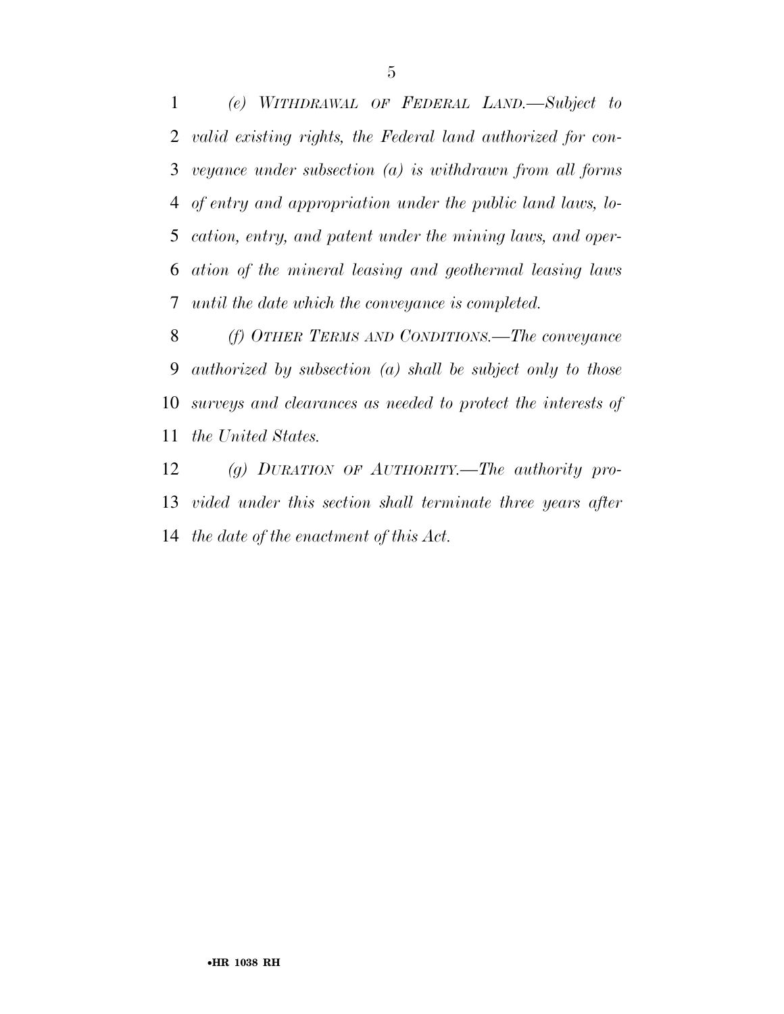*(e) WITHDRAWAL OF FEDERAL LAND.—Subject to valid existing rights, the Federal land authorized for con- veyance under subsection (a) is withdrawn from all forms of entry and appropriation under the public land laws, lo- cation, entry, and patent under the mining laws, and oper- ation of the mineral leasing and geothermal leasing laws until the date which the conveyance is completed.* 

 *(f) OTHER TERMS AND CONDITIONS.—The conveyance authorized by subsection (a) shall be subject only to those surveys and clearances as needed to protect the interests of the United States.* 

 *(g) DURATION OF AUTHORITY.—The authority pro- vided under this section shall terminate three years after the date of the enactment of this Act.*